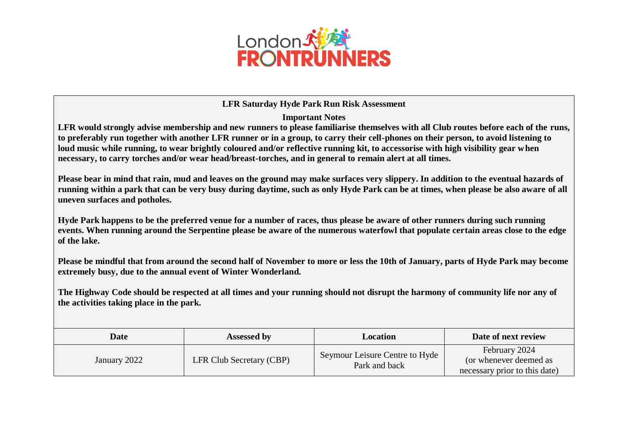

## **LFR Saturday Hyde Park Run Risk Assessment**

**Important Notes**

**LFR would strongly advise membership and new runners to please familiarise themselves with all Club routes before each of the runs, to preferably run together with another LFR runner or in a group, to carry their cell-phones on their person, to avoid listening to loud music while running, to wear brightly coloured and/or reflective running kit, to accessorise with high visibility gear when necessary, to carry torches and/or wear head/breast-torches, and in general to remain alert at all times.**

**Please bear in mind that rain, mud and leaves on the ground may make surfaces very slippery. In addition to the eventual hazards of running within a park that can be very busy during daytime, such as only Hyde Park can be at times, when please be also aware of all uneven surfaces and potholes.** 

**Hyde Park happens to be the preferred venue for a number of races, thus please be aware of other runners during such running events. When running around the Serpentine please be aware of the numerous waterfowl that populate certain areas close to the edge of the lake.**

**Please be mindful that from around the second half of November to more or less the 10th of January, parts of Hyde Park may become extremely busy, due to the annual event of Winter Wonderland.** 

**The Highway Code should be respected at all times and your running should not disrupt the harmony of community life nor any of the activities taking place in the park.**

| <b>Date</b>  | <b>Assessed by</b>              | Location                                        | Date of next review                                                      |
|--------------|---------------------------------|-------------------------------------------------|--------------------------------------------------------------------------|
| January 2022 | <b>LFR Club Secretary (CBP)</b> | Seymour Leisure Centre to Hyde<br>Park and back | February 2024<br>(or whenever deemed as<br>necessary prior to this date) |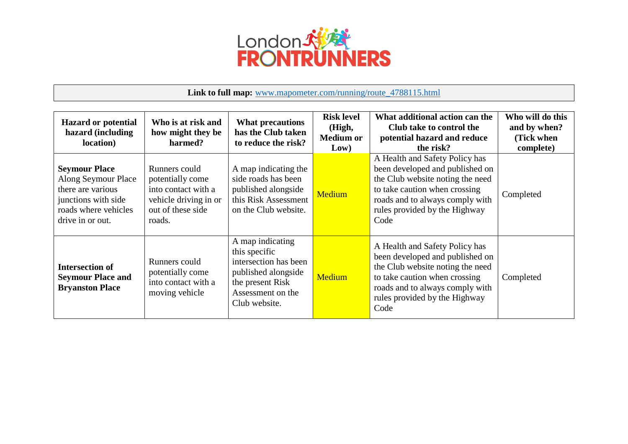

## **Link to full map:** [www.mapometer.com/running/route\\_4788115.html](http://www.mapometer.com/running/route_4788115.html)

| <b>Hazard or potential</b><br>hazard (including<br>location)                                                                        | Who is at risk and<br>how might they be<br>harmed?                                                               | <b>What precautions</b><br>has the Club taken<br>to reduce the risk?                                                                        | <b>Risk level</b><br>(High,<br><b>Medium or</b><br>Low) | What additional action can the<br>Club take to control the<br>potential hazard and reduce<br>the risk?                                                                                                             | Who will do this<br>and by when?<br>(Tick when<br>complete) |
|-------------------------------------------------------------------------------------------------------------------------------------|------------------------------------------------------------------------------------------------------------------|---------------------------------------------------------------------------------------------------------------------------------------------|---------------------------------------------------------|--------------------------------------------------------------------------------------------------------------------------------------------------------------------------------------------------------------------|-------------------------------------------------------------|
| <b>Seymour Place</b><br>Along Seymour Place<br>there are various<br>junctions with side<br>roads where vehicles<br>drive in or out. | Runners could<br>potentially come<br>into contact with a<br>vehicle driving in or<br>out of these side<br>roads. | A map indicating the<br>side roads has been<br>published alongside<br>this Risk Assessment<br>on the Club website.                          | Medium                                                  | A Health and Safety Policy has<br>been developed and published on<br>the Club website noting the need<br>to take caution when crossing<br>roads and to always comply with<br>rules provided by the Highway<br>Code | Completed                                                   |
| <b>Intersection of</b><br><b>Seymour Place and</b><br><b>Bryanston Place</b>                                                        | Runners could<br>potentially come<br>into contact with a<br>moving vehicle                                       | A map indicating<br>this specific<br>intersection has been<br>published alongside<br>the present Risk<br>Assessment on the<br>Club website. | Medium                                                  | A Health and Safety Policy has<br>been developed and published on<br>the Club website noting the need<br>to take caution when crossing<br>roads and to always comply with<br>rules provided by the Highway<br>Code | Completed                                                   |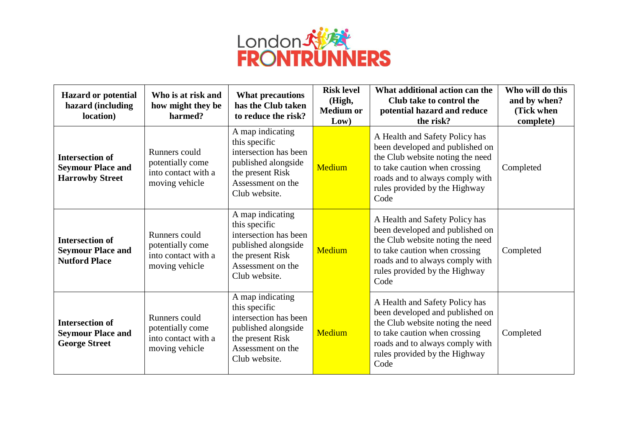

| <b>Hazard or potential</b><br>hazard (including<br>location)                 | Who is at risk and<br>how might they be<br>harmed?                         | <b>What precautions</b><br>has the Club taken<br>to reduce the risk?                                                                        | <b>Risk level</b><br>(High,<br><b>Medium or</b><br>Low) | What additional action can the<br>Club take to control the<br>potential hazard and reduce<br>the risk?                                                                                                             | Who will do this<br>and by when?<br>(Tick when<br>complete) |
|------------------------------------------------------------------------------|----------------------------------------------------------------------------|---------------------------------------------------------------------------------------------------------------------------------------------|---------------------------------------------------------|--------------------------------------------------------------------------------------------------------------------------------------------------------------------------------------------------------------------|-------------------------------------------------------------|
| <b>Intersection of</b><br><b>Seymour Place and</b><br><b>Harrowby Street</b> | Runners could<br>potentially come<br>into contact with a<br>moving vehicle | A map indicating<br>this specific<br>intersection has been<br>published alongside<br>the present Risk<br>Assessment on the<br>Club website. | Medium                                                  | A Health and Safety Policy has<br>been developed and published on<br>the Club website noting the need<br>to take caution when crossing<br>roads and to always comply with<br>rules provided by the Highway<br>Code | Completed                                                   |
| <b>Intersection of</b><br><b>Seymour Place and</b><br><b>Nutford Place</b>   | Runners could<br>potentially come<br>into contact with a<br>moving vehicle | A map indicating<br>this specific<br>intersection has been<br>published alongside<br>the present Risk<br>Assessment on the<br>Club website. | <b>Medium</b>                                           | A Health and Safety Policy has<br>been developed and published on<br>the Club website noting the need<br>to take caution when crossing<br>roads and to always comply with<br>rules provided by the Highway<br>Code | Completed                                                   |
| <b>Intersection of</b><br><b>Seymour Place and</b><br><b>George Street</b>   | Runners could<br>potentially come<br>into contact with a<br>moving vehicle | A map indicating<br>this specific<br>intersection has been<br>published alongside<br>the present Risk<br>Assessment on the<br>Club website. | Medium                                                  | A Health and Safety Policy has<br>been developed and published on<br>the Club website noting the need<br>to take caution when crossing<br>roads and to always comply with<br>rules provided by the Highway<br>Code | Completed                                                   |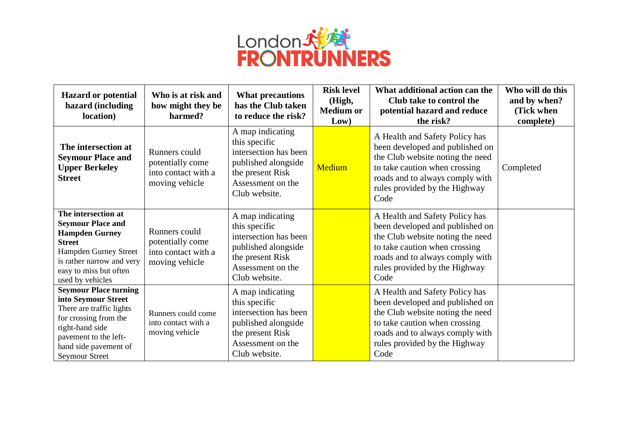

| <b>Hazard or potential</b><br>hazard (including<br>location)                                                                                                                                           | Who is at risk and<br>how might they be<br>harmed?                         | <b>What precautions</b><br>has the Club taken<br>to reduce the risk?                                                                        | <b>Risk level</b><br>(High,<br><b>Medium or</b><br>Low) | What additional action can the<br>Club take to control the<br>potential hazard and reduce<br>the risk?                                                                                                             | Who will do this<br>and by when?<br>(Tick when<br>complete) |
|--------------------------------------------------------------------------------------------------------------------------------------------------------------------------------------------------------|----------------------------------------------------------------------------|---------------------------------------------------------------------------------------------------------------------------------------------|---------------------------------------------------------|--------------------------------------------------------------------------------------------------------------------------------------------------------------------------------------------------------------------|-------------------------------------------------------------|
| The intersection at<br><b>Seymour Place and</b><br><b>Upper Berkeley</b><br><b>Street</b>                                                                                                              | Runners could<br>potentially come<br>into contact with a<br>moving vehicle | A map indicating<br>this specific<br>intersection has been<br>published alongside<br>the present Risk<br>Assessment on the<br>Club website. | Medium                                                  | A Health and Safety Policy has<br>been developed and published on<br>the Club website noting the need<br>to take caution when crossing<br>roads and to always comply with<br>rules provided by the Highway<br>Code | Completed                                                   |
| The intersection at<br><b>Seymour Place and</b><br><b>Hampden Gurney</b><br><b>Street</b><br>Hampden Gurney Street<br>is rather narrow and very<br>easy to miss but often<br>used by vehicles          | Runners could<br>potentially come<br>into contact with a<br>moving vehicle | A map indicating<br>this specific<br>intersection has been<br>published alongside<br>the present Risk<br>Assessment on the<br>Club website. |                                                         | A Health and Safety Policy has<br>been developed and published on<br>the Club website noting the need<br>to take caution when crossing<br>roads and to always comply with<br>rules provided by the Highway<br>Code |                                                             |
| <b>Seymour Place turning</b><br>into Seymour Street<br>There are traffic lights<br>for crossing from the<br>right-hand side<br>pavement to the left-<br>hand side pavement of<br><b>Seymour Street</b> | Runners could come<br>into contact with a<br>moving vehicle                | A map indicating<br>this specific<br>intersection has been<br>published alongside<br>the present Risk<br>Assessment on the<br>Club website. |                                                         | A Health and Safety Policy has<br>been developed and published on<br>the Club website noting the need<br>to take caution when crossing<br>roads and to always comply with<br>rules provided by the Highway<br>Code |                                                             |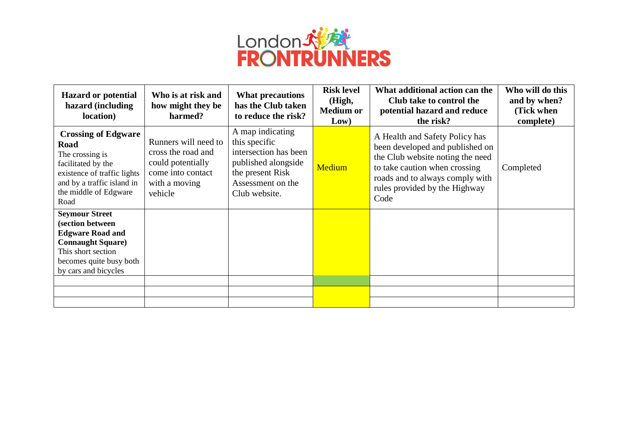

| <b>Hazard or potential</b><br>hazard (including<br>location)                                                                                                                     | Who is at risk and<br>how might they be<br>harmed?                                                               | <b>What precautions</b><br>has the Club taken<br>to reduce the risk?                                                                        | <b>Risk level</b><br>(High,<br><b>Medium or</b><br>Low) | What additional action can the<br>Club take to control the<br>potential hazard and reduce<br>the risk?                                                                                                             | Who will do this<br>and by when?<br>(Tick when<br>complete) |
|----------------------------------------------------------------------------------------------------------------------------------------------------------------------------------|------------------------------------------------------------------------------------------------------------------|---------------------------------------------------------------------------------------------------------------------------------------------|---------------------------------------------------------|--------------------------------------------------------------------------------------------------------------------------------------------------------------------------------------------------------------------|-------------------------------------------------------------|
| <b>Crossing of Edgware</b><br><b>Road</b><br>The crossing is<br>facilitated by the<br>existence of traffic lights<br>and by a traffic island in<br>the middle of Edgware<br>Road | Runners will need to<br>cross the road and<br>could potentially<br>come into contact<br>with a moving<br>vehicle | A map indicating<br>this specific<br>intersection has been<br>published alongside<br>the present Risk<br>Assessment on the<br>Club website. | Medium                                                  | A Health and Safety Policy has<br>been developed and published on<br>the Club website noting the need<br>to take caution when crossing<br>roads and to always comply with<br>rules provided by the Highway<br>Code | Completed                                                   |
| <b>Seymour Street</b><br>(section between<br><b>Edgware Road and</b><br><b>Connaught Square</b> )<br>This short section<br>becomes quite busy both<br>by cars and bicycles       |                                                                                                                  |                                                                                                                                             |                                                         |                                                                                                                                                                                                                    |                                                             |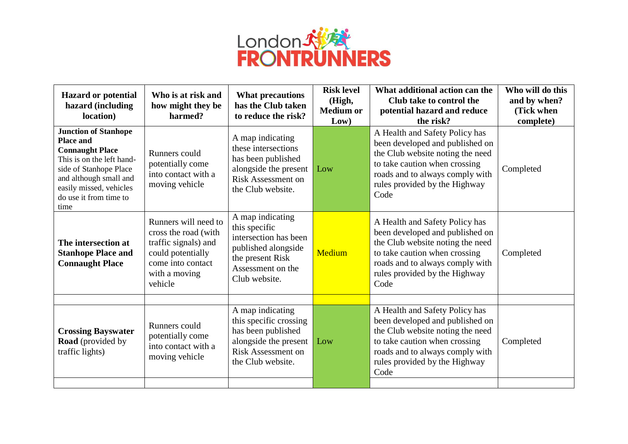

| <b>Hazard or potential</b><br>hazard (including<br>location)                                                                                                                                                            | Who is at risk and<br>how might they be<br>harmed?                                                                                         | <b>What precautions</b><br>has the Club taken<br>to reduce the risk?                                                                        | <b>Risk level</b><br>(High,<br><b>Medium or</b><br>Low) | What additional action can the<br>Club take to control the<br>potential hazard and reduce<br>the risk?                                                                                                             | Who will do this<br>and by when?<br>(Tick when<br>complete) |
|-------------------------------------------------------------------------------------------------------------------------------------------------------------------------------------------------------------------------|--------------------------------------------------------------------------------------------------------------------------------------------|---------------------------------------------------------------------------------------------------------------------------------------------|---------------------------------------------------------|--------------------------------------------------------------------------------------------------------------------------------------------------------------------------------------------------------------------|-------------------------------------------------------------|
| <b>Junction of Stanhope</b><br><b>Place and</b><br><b>Connaught Place</b><br>This is on the left hand-<br>side of Stanhope Place<br>and although small and<br>easily missed, vehicles<br>do use it from time to<br>time | Runners could<br>potentially come<br>into contact with a<br>moving vehicle                                                                 | A map indicating<br>these intersections<br>has been published<br>alongside the present<br>Risk Assessment on<br>the Club website.           | Low                                                     | A Health and Safety Policy has<br>been developed and published on<br>the Club website noting the need<br>to take caution when crossing<br>roads and to always comply with<br>rules provided by the Highway<br>Code | Completed                                                   |
| The intersection at<br><b>Stanhope Place and</b><br><b>Connaught Place</b>                                                                                                                                              | Runners will need to<br>cross the road (with<br>traffic signals) and<br>could potentially<br>come into contact<br>with a moving<br>vehicle | A map indicating<br>this specific<br>intersection has been<br>published alongside<br>the present Risk<br>Assessment on the<br>Club website. | Medium                                                  | A Health and Safety Policy has<br>been developed and published on<br>the Club website noting the need<br>to take caution when crossing<br>roads and to always comply with<br>rules provided by the Highway<br>Code | Completed                                                   |
|                                                                                                                                                                                                                         |                                                                                                                                            | A map indicating                                                                                                                            |                                                         | A Health and Safety Policy has                                                                                                                                                                                     |                                                             |
| <b>Crossing Bayswater</b><br><b>Road</b> (provided by<br>traffic lights)                                                                                                                                                | Runners could<br>potentially come<br>into contact with a<br>moving vehicle                                                                 | this specific crossing<br>has been published<br>alongside the present<br>Risk Assessment on<br>the Club website.                            | Low                                                     | been developed and published on<br>the Club website noting the need<br>to take caution when crossing<br>roads and to always comply with<br>rules provided by the Highway<br>Code                                   | Completed                                                   |
|                                                                                                                                                                                                                         |                                                                                                                                            |                                                                                                                                             |                                                         |                                                                                                                                                                                                                    |                                                             |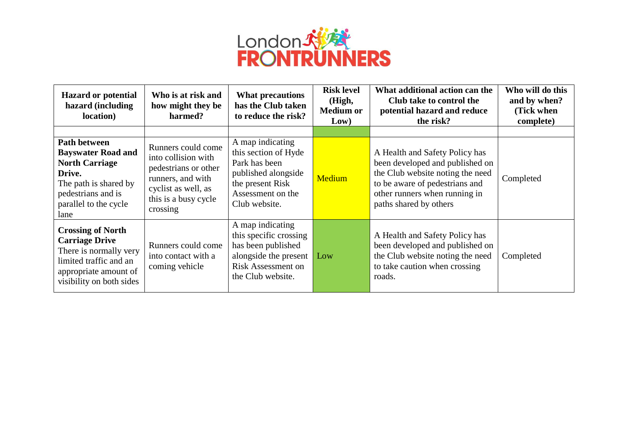

| <b>Hazard or potential</b><br>hazard (including<br>location)                                                                                                 | Who is at risk and<br>how might they be<br>harmed?                                                                                                | <b>What precautions</b><br>has the Club taken<br>to reduce the risk?                                                                       | <b>Risk level</b><br>(High,<br><b>Medium or</b><br>Low) | What additional action can the<br>Club take to control the<br>potential hazard and reduce<br>the risk?                                                                                             | Who will do this<br>and by when?<br>(Tick when<br>complete) |
|--------------------------------------------------------------------------------------------------------------------------------------------------------------|---------------------------------------------------------------------------------------------------------------------------------------------------|--------------------------------------------------------------------------------------------------------------------------------------------|---------------------------------------------------------|----------------------------------------------------------------------------------------------------------------------------------------------------------------------------------------------------|-------------------------------------------------------------|
|                                                                                                                                                              |                                                                                                                                                   |                                                                                                                                            |                                                         |                                                                                                                                                                                                    |                                                             |
| Path between<br><b>Bayswater Road and</b><br><b>North Carriage</b><br>Drive.<br>The path is shared by<br>pedestrians and is<br>parallel to the cycle<br>lane | Runners could come<br>into collision with<br>pedestrians or other<br>runners, and with<br>cyclist as well, as<br>this is a busy cycle<br>crossing | A map indicating<br>this section of Hyde<br>Park has been<br>published alongside<br>the present Risk<br>Assessment on the<br>Club website. | <b>Medium</b>                                           | A Health and Safety Policy has<br>been developed and published on<br>the Club website noting the need<br>to be aware of pedestrians and<br>other runners when running in<br>paths shared by others | Completed                                                   |
| <b>Crossing of North</b><br><b>Carriage Drive</b><br>There is normally very<br>limited traffic and an<br>appropriate amount of<br>visibility on both sides   | Runners could come<br>into contact with a<br>coming vehicle                                                                                       | A map indicating<br>this specific crossing<br>has been published<br>alongside the present<br>Risk Assessment on<br>the Club website.       | Low                                                     | A Health and Safety Policy has<br>been developed and published on<br>the Club website noting the need<br>to take caution when crossing<br>roads.                                                   | Completed                                                   |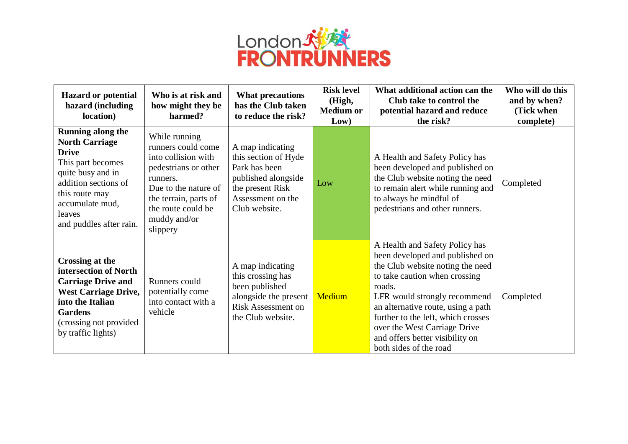

| <b>Hazard or potential</b><br>hazard (including<br>location)                                                                                                                                                  | Who is at risk and<br>how might they be<br>harmed?                                                                                                                                                | <b>What precautions</b><br>has the Club taken<br>to reduce the risk?                                                                       | <b>Risk level</b><br>(High,<br><b>Medium or</b><br>Low) | What additional action can the<br>Club take to control the<br>potential hazard and reduce<br>the risk?                                                                                                                                                                                                                                                    | Who will do this<br>and by when?<br>(Tick when<br>complete) |
|---------------------------------------------------------------------------------------------------------------------------------------------------------------------------------------------------------------|---------------------------------------------------------------------------------------------------------------------------------------------------------------------------------------------------|--------------------------------------------------------------------------------------------------------------------------------------------|---------------------------------------------------------|-----------------------------------------------------------------------------------------------------------------------------------------------------------------------------------------------------------------------------------------------------------------------------------------------------------------------------------------------------------|-------------------------------------------------------------|
| <b>Running along the</b><br><b>North Carriage</b><br><b>Drive</b><br>This part becomes<br>quite busy and in<br>addition sections of<br>this route may<br>accumulate mud,<br>leaves<br>and puddles after rain. | While running<br>runners could come<br>into collision with<br>pedestrians or other<br>runners.<br>Due to the nature of<br>the terrain, parts of<br>the route could be<br>muddy and/or<br>slippery | A map indicating<br>this section of Hyde<br>Park has been<br>published alongside<br>the present Risk<br>Assessment on the<br>Club website. | Low                                                     | A Health and Safety Policy has<br>been developed and published on<br>the Club website noting the need<br>to remain alert while running and<br>to always be mindful of<br>pedestrians and other runners.                                                                                                                                                   | Completed                                                   |
| <b>Crossing at the</b><br>intersection of North<br><b>Carriage Drive and</b><br><b>West Carriage Drive,</b><br>into the Italian<br><b>Gardens</b><br>(crossing not provided)<br>by traffic lights)            | Runners could<br>potentially come<br>into contact with a<br>vehicle                                                                                                                               | A map indicating<br>this crossing has<br>been published<br>alongside the present<br><b>Risk Assessment on</b><br>the Club website.         | Medium                                                  | A Health and Safety Policy has<br>been developed and published on<br>the Club website noting the need<br>to take caution when crossing<br>roads.<br>LFR would strongly recommend<br>an alternative route, using a path<br>further to the left, which crosses<br>over the West Carriage Drive<br>and offers better visibility on<br>both sides of the road | Completed                                                   |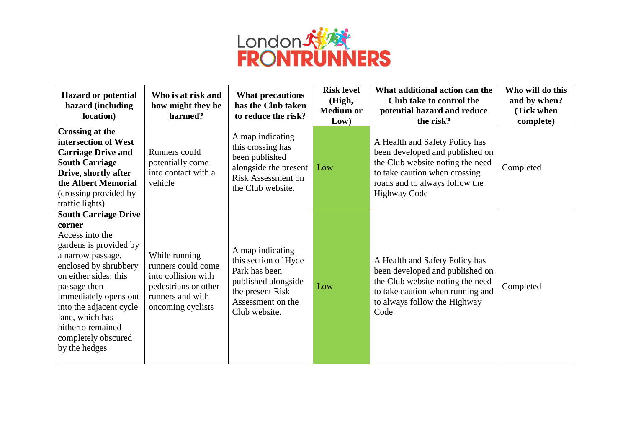

| <b>Hazard or potential</b><br>hazard (including<br>location)                                                                                                                                                                                                                                                  | Who is at risk and<br>how might they be<br>harmed?                                                                          | What precautions<br>has the Club taken<br>to reduce the risk?                                                                              | <b>Risk level</b><br>(High,<br><b>Medium or</b><br>Low) | What additional action can the<br>Club take to control the<br>potential hazard and reduce<br>the risk?                                                                                          | Who will do this<br>and by when?<br>(Tick when<br>complete) |
|---------------------------------------------------------------------------------------------------------------------------------------------------------------------------------------------------------------------------------------------------------------------------------------------------------------|-----------------------------------------------------------------------------------------------------------------------------|--------------------------------------------------------------------------------------------------------------------------------------------|---------------------------------------------------------|-------------------------------------------------------------------------------------------------------------------------------------------------------------------------------------------------|-------------------------------------------------------------|
| <b>Crossing at the</b><br>intersection of West<br><b>Carriage Drive and</b><br><b>South Carriage</b><br>Drive, shortly after<br>the Albert Memorial<br>(crossing provided by<br>traffic lights)                                                                                                               | Runners could<br>potentially come<br>into contact with a<br>vehicle                                                         | A map indicating<br>this crossing has<br>been published<br>alongside the present<br>Risk Assessment on<br>the Club website.                | Low                                                     | A Health and Safety Policy has<br>been developed and published on<br>the Club website noting the need<br>to take caution when crossing<br>roads and to always follow the<br><b>Highway Code</b> | Completed                                                   |
| <b>South Carriage Drive</b><br>corner<br>Access into the<br>gardens is provided by<br>a narrow passage,<br>enclosed by shrubbery<br>on either sides; this<br>passage then<br>immediately opens out<br>into the adjacent cycle<br>lane, which has<br>hitherto remained<br>completely obscured<br>by the hedges | While running<br>runners could come<br>into collision with<br>pedestrians or other<br>runners and with<br>oncoming cyclists | A map indicating<br>this section of Hyde<br>Park has been<br>published alongside<br>the present Risk<br>Assessment on the<br>Club website. | Low                                                     | A Health and Safety Policy has<br>been developed and published on<br>the Club website noting the need<br>to take caution when running and<br>to always follow the Highway<br>Code               | Completed                                                   |